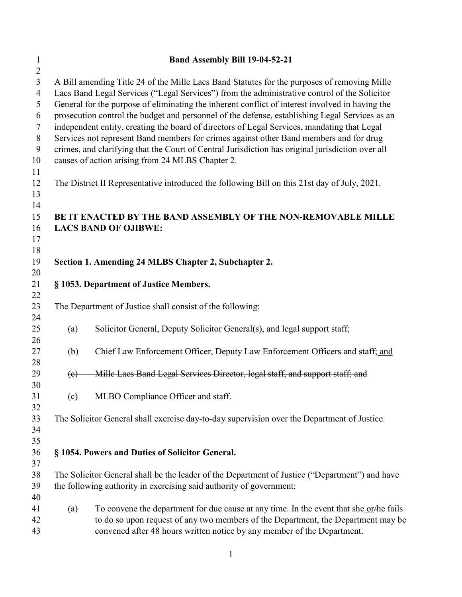| $\mathbf{1}$<br>$\overline{2}$                                                  | Band Assembly Bill 19-04-52-21                                                                                                                                                                                                                                                                                                                                                                                                                                                                                                                                                                                                                                                                                                                    |                                                                                                                                                                                                                                                         |  |  |  |
|---------------------------------------------------------------------------------|---------------------------------------------------------------------------------------------------------------------------------------------------------------------------------------------------------------------------------------------------------------------------------------------------------------------------------------------------------------------------------------------------------------------------------------------------------------------------------------------------------------------------------------------------------------------------------------------------------------------------------------------------------------------------------------------------------------------------------------------------|---------------------------------------------------------------------------------------------------------------------------------------------------------------------------------------------------------------------------------------------------------|--|--|--|
| $\overline{3}$<br>$\overline{4}$<br>5<br>6<br>$\tau$<br>$\, 8$<br>9<br>10<br>11 | A Bill amending Title 24 of the Mille Lacs Band Statutes for the purposes of removing Mille<br>Lacs Band Legal Services ("Legal Services") from the administrative control of the Solicitor<br>General for the purpose of eliminating the inherent conflict of interest involved in having the<br>prosecution control the budget and personnel of the defense, establishing Legal Services as an<br>independent entity, creating the board of directors of Legal Services, mandating that Legal<br>Services not represent Band members for crimes against other Band members and for drug<br>crimes, and clarifying that the Court of Central Jurisdiction has original jurisdiction over all<br>causes of action arising from 24 MLBS Chapter 2. |                                                                                                                                                                                                                                                         |  |  |  |
| 12<br>13<br>14                                                                  |                                                                                                                                                                                                                                                                                                                                                                                                                                                                                                                                                                                                                                                                                                                                                   | The District II Representative introduced the following Bill on this 21st day of July, 2021.                                                                                                                                                            |  |  |  |
| 15<br>16<br>17<br>18                                                            |                                                                                                                                                                                                                                                                                                                                                                                                                                                                                                                                                                                                                                                                                                                                                   | BE IT ENACTED BY THE BAND ASSEMBLY OF THE NON-REMOVABLE MILLE<br><b>LACS BAND OF OJIBWE:</b>                                                                                                                                                            |  |  |  |
| 19<br>20                                                                        | Section 1. Amending 24 MLBS Chapter 2, Subchapter 2.                                                                                                                                                                                                                                                                                                                                                                                                                                                                                                                                                                                                                                                                                              |                                                                                                                                                                                                                                                         |  |  |  |
| 21<br>22                                                                        | § 1053. Department of Justice Members.                                                                                                                                                                                                                                                                                                                                                                                                                                                                                                                                                                                                                                                                                                            |                                                                                                                                                                                                                                                         |  |  |  |
| 23<br>24                                                                        |                                                                                                                                                                                                                                                                                                                                                                                                                                                                                                                                                                                                                                                                                                                                                   | The Department of Justice shall consist of the following:                                                                                                                                                                                               |  |  |  |
| 25<br>26                                                                        | (a)                                                                                                                                                                                                                                                                                                                                                                                                                                                                                                                                                                                                                                                                                                                                               | Solicitor General, Deputy Solicitor General(s), and legal support staff;                                                                                                                                                                                |  |  |  |
| 27<br>28                                                                        | (b)                                                                                                                                                                                                                                                                                                                                                                                                                                                                                                                                                                                                                                                                                                                                               | Chief Law Enforcement Officer, Deputy Law Enforcement Officers and staff; and                                                                                                                                                                           |  |  |  |
| 29<br>30                                                                        | $\left(\epsilon\right)$                                                                                                                                                                                                                                                                                                                                                                                                                                                                                                                                                                                                                                                                                                                           | Mille Lacs Band Legal Services Director, legal staff, and support staff; and                                                                                                                                                                            |  |  |  |
| 31<br>32                                                                        | (c)                                                                                                                                                                                                                                                                                                                                                                                                                                                                                                                                                                                                                                                                                                                                               | MLBO Compliance Officer and staff.                                                                                                                                                                                                                      |  |  |  |
| 33<br>34<br>35                                                                  |                                                                                                                                                                                                                                                                                                                                                                                                                                                                                                                                                                                                                                                                                                                                                   | The Solicitor General shall exercise day-to-day supervision over the Department of Justice.                                                                                                                                                             |  |  |  |
| 36<br>37                                                                        | § 1054. Powers and Duties of Solicitor General.                                                                                                                                                                                                                                                                                                                                                                                                                                                                                                                                                                                                                                                                                                   |                                                                                                                                                                                                                                                         |  |  |  |
| 38<br>39<br>40                                                                  |                                                                                                                                                                                                                                                                                                                                                                                                                                                                                                                                                                                                                                                                                                                                                   | The Solicitor General shall be the leader of the Department of Justice ("Department") and have<br>the following authority in exercising said authority of government:                                                                                   |  |  |  |
| 41<br>42<br>43                                                                  | (a)                                                                                                                                                                                                                                                                                                                                                                                                                                                                                                                                                                                                                                                                                                                                               | To convene the department for due cause at any time. In the event that she or-the fails<br>to do so upon request of any two members of the Department, the Department may be<br>convened after 48 hours written notice by any member of the Department. |  |  |  |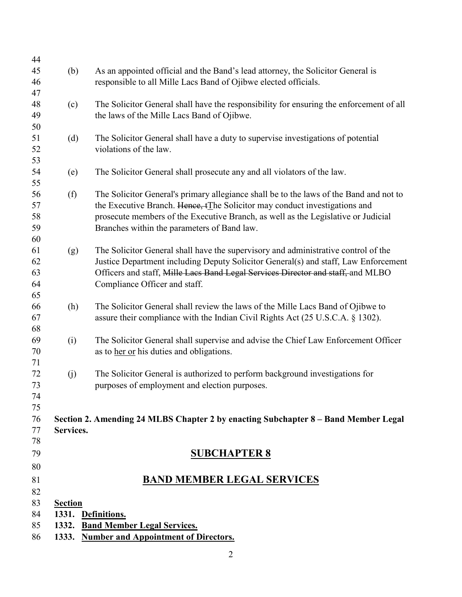| 44       |                                   |                                                                                         |  |  |
|----------|-----------------------------------|-----------------------------------------------------------------------------------------|--|--|
| 45       | (b)                               | As an appointed official and the Band's lead attorney, the Solicitor General is         |  |  |
| 46       |                                   | responsible to all Mille Lacs Band of Ojibwe elected officials.                         |  |  |
| 47       |                                   |                                                                                         |  |  |
| 48       | (c)                               | The Solicitor General shall have the responsibility for ensuring the enforcement of all |  |  |
| 49       |                                   | the laws of the Mille Lacs Band of Ojibwe.                                              |  |  |
| 50       |                                   |                                                                                         |  |  |
| 51       | (d)                               | The Solicitor General shall have a duty to supervise investigations of potential        |  |  |
| 52       |                                   | violations of the law.                                                                  |  |  |
| 53       |                                   |                                                                                         |  |  |
| 54       | (e)                               | The Solicitor General shall prosecute any and all violators of the law.                 |  |  |
| 55       |                                   |                                                                                         |  |  |
| 56       | (f)                               | The Solicitor General's primary allegiance shall be to the laws of the Band and not to  |  |  |
| 57       |                                   | the Executive Branch. Hence, tThe Solicitor may conduct investigations and              |  |  |
| 58       |                                   |                                                                                         |  |  |
| 59       |                                   | prosecute members of the Executive Branch, as well as the Legislative or Judicial       |  |  |
|          |                                   | Branches within the parameters of Band law.                                             |  |  |
| 60       |                                   |                                                                                         |  |  |
| 61       | (g)                               | The Solicitor General shall have the supervisory and administrative control of the      |  |  |
| 62       |                                   | Justice Department including Deputy Solicitor General(s) and staff, Law Enforcement     |  |  |
| 63<br>64 |                                   | Officers and staff, Mille Lacs Band Legal Services Director and staff, and MLBO         |  |  |
|          |                                   | Compliance Officer and staff.                                                           |  |  |
| 65       |                                   |                                                                                         |  |  |
| 66       | (h)                               | The Solicitor General shall review the laws of the Mille Lacs Band of Ojibwe to         |  |  |
| 67       |                                   | assure their compliance with the Indian Civil Rights Act (25 U.S.C.A. § 1302).          |  |  |
| 68       |                                   |                                                                                         |  |  |
| 69       | (i)                               | The Solicitor General shall supervise and advise the Chief Law Enforcement Officer      |  |  |
| 70       |                                   | as to her or his duties and obligations.                                                |  |  |
| 71       |                                   |                                                                                         |  |  |
| 72       | (j)                               | The Solicitor General is authorized to perform background investigations for            |  |  |
| 73       |                                   | purposes of employment and election purposes.                                           |  |  |
| 74       |                                   |                                                                                         |  |  |
| 75       |                                   |                                                                                         |  |  |
| 76       |                                   | Section 2. Amending 24 MLBS Chapter 2 by enacting Subchapter 8 – Band Member Legal      |  |  |
| 77       | Services.                         |                                                                                         |  |  |
| 78       |                                   |                                                                                         |  |  |
| 79       |                                   | <b>SUBCHAPTER 8</b>                                                                     |  |  |
| 80       |                                   |                                                                                         |  |  |
| 81       |                                   | <b>BAND MEMBER LEGAL SERVICES</b>                                                       |  |  |
| 82       |                                   |                                                                                         |  |  |
| 83       | <b>Section</b>                    |                                                                                         |  |  |
| 84       | 1331. Definitions.                |                                                                                         |  |  |
| 85       | 1332. Band Member Legal Services. |                                                                                         |  |  |
| 86       |                                   | 1333. Number and Appointment of Directors.                                              |  |  |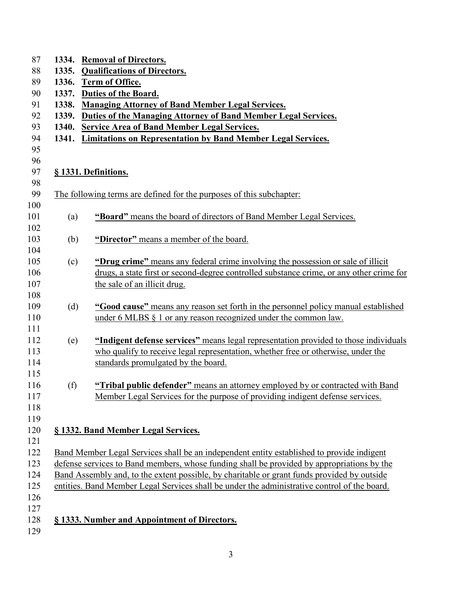| 1334. | <b>Removal of Directors.</b>                                                                 |  |  |
|-------|----------------------------------------------------------------------------------------------|--|--|
| 1335. | <b>Qualifications of Directors.</b>                                                          |  |  |
| 1336. | Term of Office.                                                                              |  |  |
| 1337. | Duties of the Board.                                                                         |  |  |
| 1338. | <b>Managing Attorney of Band Member Legal Services.</b>                                      |  |  |
| 1339. | Duties of the Managing Attorney of Band Member Legal Services.                               |  |  |
| 1340. | <b>Service Area of Band Member Legal Services.</b>                                           |  |  |
| 1341. | <b>Limitations on Representation by Band Member Legal Services.</b>                          |  |  |
|       |                                                                                              |  |  |
|       |                                                                                              |  |  |
|       | § 1331. Definitions.                                                                         |  |  |
|       |                                                                                              |  |  |
|       | The following terms are defined for the purposes of this subchapter.                         |  |  |
|       | "Board" means the board of directors of Band Member Legal Services.                          |  |  |
| (a)   |                                                                                              |  |  |
| (b)   | "Director" means a member of the board.                                                      |  |  |
|       |                                                                                              |  |  |
| (c)   | "Drug crime" means any federal crime involving the possession or sale of illicit             |  |  |
|       | drugs, a state first or second-degree controlled substance crime, or any other crime for     |  |  |
|       | the sale of an illicit drug.                                                                 |  |  |
|       |                                                                                              |  |  |
| (d)   | "Good cause" means any reason set forth in the personnel policy manual established           |  |  |
|       | under 6 MLBS $\S$ 1 or any reason recognized under the common law.                           |  |  |
|       |                                                                                              |  |  |
| (e)   | "Indigent defense services" means legal representation provided to those individuals         |  |  |
|       | who qualify to receive legal representation, whether free or otherwise, under the            |  |  |
|       | standards promulgated by the board.                                                          |  |  |
|       |                                                                                              |  |  |
| (f)   | "Tribal public defender" means an attorney employed by or contracted with Band               |  |  |
|       | Member Legal Services for the purpose of providing indigent defense services.                |  |  |
|       |                                                                                              |  |  |
|       |                                                                                              |  |  |
|       | § 1332. Band Member Legal Services.                                                          |  |  |
|       |                                                                                              |  |  |
|       | Band Member Legal Services shall be an independent entity established to provide indigent    |  |  |
|       | defense services to Band members, whose funding shall be provided by appropriations by the   |  |  |
|       | Band Assembly and, to the extent possible, by charitable or grant funds provided by outside  |  |  |
|       | entities. Band Member Legal Services shall be under the administrative control of the board. |  |  |
|       |                                                                                              |  |  |
|       |                                                                                              |  |  |
|       | § 1333. Number and Appointment of Directors.                                                 |  |  |
|       |                                                                                              |  |  |
|       |                                                                                              |  |  |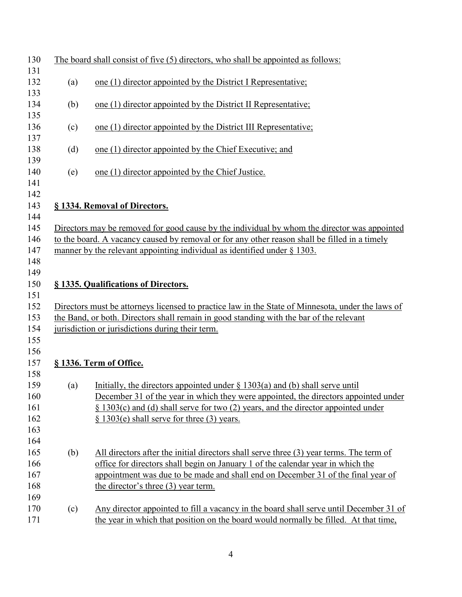| 130        |                                                                                               | The board shall consist of five (5) directors, who shall be appointed as follows:                 |  |  |
|------------|-----------------------------------------------------------------------------------------------|---------------------------------------------------------------------------------------------------|--|--|
| 131<br>132 | (a)                                                                                           | one (1) director appointed by the District I Representative;                                      |  |  |
| 133<br>134 | (b)                                                                                           | one (1) director appointed by the District II Representative;                                     |  |  |
| 135<br>136 | (c)                                                                                           | one (1) director appointed by the District III Representative;                                    |  |  |
| 137<br>138 | (d)                                                                                           | one (1) director appointed by the Chief Executive; and                                            |  |  |
| 139<br>140 | (e)                                                                                           | one (1) director appointed by the Chief Justice.                                                  |  |  |
| 141<br>142 |                                                                                               |                                                                                                   |  |  |
| 143        |                                                                                               | § 1334. Removal of Directors.                                                                     |  |  |
| 144<br>145 |                                                                                               | Directors may be removed for good cause by the individual by whom the director was appointed      |  |  |
| 146        | to the board. A vacancy caused by removal or for any other reason shall be filled in a timely |                                                                                                   |  |  |
| 147        | manner by the relevant appointing individual as identified under $\S$ 1303.                   |                                                                                                   |  |  |
| 148        |                                                                                               |                                                                                                   |  |  |
| 149        |                                                                                               |                                                                                                   |  |  |
| 150        |                                                                                               | § 1335. Qualifications of Directors.                                                              |  |  |
| 151        |                                                                                               |                                                                                                   |  |  |
| 152        |                                                                                               | Directors must be attorneys licensed to practice law in the State of Minnesota, under the laws of |  |  |
| 153        | the Band, or both. Directors shall remain in good standing with the bar of the relevant       |                                                                                                   |  |  |
| 154        | jurisdiction or jurisdictions during their term.                                              |                                                                                                   |  |  |
| 155        |                                                                                               |                                                                                                   |  |  |
| 156        |                                                                                               |                                                                                                   |  |  |
| 157        |                                                                                               | § 1336. Term of Office.                                                                           |  |  |
| 158        |                                                                                               |                                                                                                   |  |  |
| 159        | (a)                                                                                           | Initially, the directors appointed under $\S$ 1303(a) and (b) shall serve until                   |  |  |
| 160        |                                                                                               | December 31 of the year in which they were appointed, the directors appointed under               |  |  |
| 161        |                                                                                               | $\S$ 1303(c) and (d) shall serve for two (2) years, and the director appointed under              |  |  |
| 162        |                                                                                               | $\S$ 1303(e) shall serve for three (3) years.                                                     |  |  |
| 163        |                                                                                               |                                                                                                   |  |  |
| 164        |                                                                                               |                                                                                                   |  |  |
| 165        | (b)                                                                                           | All directors after the initial directors shall serve three (3) year terms. The term of           |  |  |
| 166        |                                                                                               | office for directors shall begin on January 1 of the calendar year in which the                   |  |  |
| 167        |                                                                                               | appointment was due to be made and shall end on December 31 of the final year of                  |  |  |
| 168        |                                                                                               | the director's three (3) year term.                                                               |  |  |
| 169        |                                                                                               |                                                                                                   |  |  |
| 170        | (c)                                                                                           | Any director appointed to fill a vacancy in the board shall serve until December 31 of            |  |  |
| 171        |                                                                                               | the year in which that position on the board would normally be filled. At that time,              |  |  |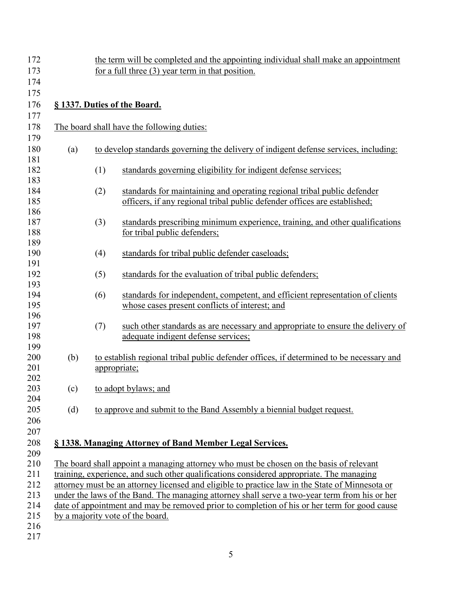| 172               |     |     | the term will be completed and the appointing individual shall make an appointment                                                                                                               |
|-------------------|-----|-----|--------------------------------------------------------------------------------------------------------------------------------------------------------------------------------------------------|
| 173               |     |     | for a full three $(3)$ year term in that position.                                                                                                                                               |
| 174               |     |     |                                                                                                                                                                                                  |
| 175               |     |     |                                                                                                                                                                                                  |
| 176               |     |     | § 1337. Duties of the Board.                                                                                                                                                                     |
| 177               |     |     |                                                                                                                                                                                                  |
| 178<br>179        |     |     | The board shall have the following duties:                                                                                                                                                       |
| 180<br>181        | (a) |     | to develop standards governing the delivery of indigent defense services, including:                                                                                                             |
| 182<br>183        |     | (1) | standards governing eligibility for indigent defense services;                                                                                                                                   |
| 184<br>185        |     | (2) | standards for maintaining and operating regional tribal public defender<br>officers, if any regional tribal public defender offices are established;                                             |
| 186<br>187        |     | (3) | standards prescribing minimum experience, training, and other qualifications                                                                                                                     |
| 188<br>189        |     |     | for tribal public defenders;                                                                                                                                                                     |
| 190<br>191        |     | (4) | standards for tribal public defender caseloads;                                                                                                                                                  |
| 192<br>193        |     | (5) | standards for the evaluation of tribal public defenders;                                                                                                                                         |
| 194<br>195        |     | (6) | standards for independent, competent, and efficient representation of clients<br>whose cases present conflicts of interest; and                                                                  |
| 196<br>197<br>198 |     | (7) | such other standards as are necessary and appropriate to ensure the delivery of<br>adequate indigent defense services;                                                                           |
| 199<br>200<br>201 | (b) |     | to establish regional tribal public defender offices, if determined to be necessary and<br>appropriate;                                                                                          |
| 202<br>203        | (c) |     | to adopt bylaws; and                                                                                                                                                                             |
| 204<br>205<br>206 | (d) |     | to approve and submit to the Band Assembly a biennial budget request.                                                                                                                            |
| 207<br>208        |     |     | § 1338. Managing Attorney of Band Member Legal Services.                                                                                                                                         |
| 209               |     |     |                                                                                                                                                                                                  |
| 210               |     |     | The board shall appoint a managing attorney who must be chosen on the basis of relevant                                                                                                          |
| 211<br>212        |     |     | training, experience, and such other qualifications considered appropriate. The managing                                                                                                         |
| 213               |     |     | attorney must be an attorney licensed and eligible to practice law in the State of Minnesota or<br>under the laws of the Band. The managing attorney shall serve a two-year term from his or her |
| 214               |     |     | date of appointment and may be removed prior to completion of his or her term for good cause                                                                                                     |
| 215               |     |     | by a majority vote of the board.                                                                                                                                                                 |
| 216               |     |     |                                                                                                                                                                                                  |
| 217               |     |     |                                                                                                                                                                                                  |
|                   |     |     |                                                                                                                                                                                                  |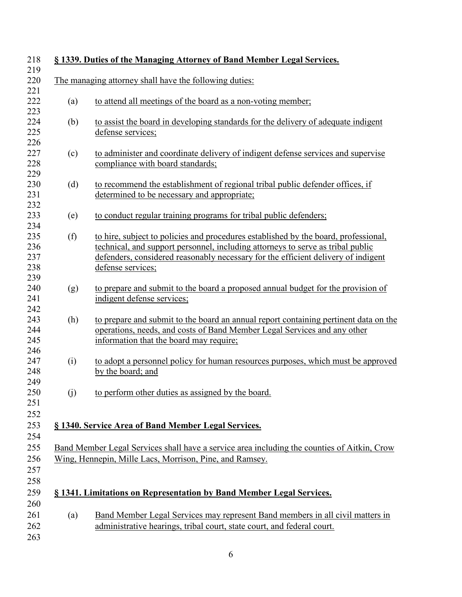|     | The managing attorney shall have the following duties:                                                                                                                                                                                                                           |
|-----|----------------------------------------------------------------------------------------------------------------------------------------------------------------------------------------------------------------------------------------------------------------------------------|
|     |                                                                                                                                                                                                                                                                                  |
| (a) | to attend all meetings of the board as a non-voting member;                                                                                                                                                                                                                      |
| (b) | to assist the board in developing standards for the delivery of adequate indigent<br>defense services;                                                                                                                                                                           |
| (c) | to administer and coordinate delivery of indigent defense services and supervise<br>compliance with board standards;                                                                                                                                                             |
| (d) | to recommend the establishment of regional tribal public defender offices, if<br>determined to be necessary and appropriate;                                                                                                                                                     |
| (e) | to conduct regular training programs for tribal public defenders;                                                                                                                                                                                                                |
| (f) | to hire, subject to policies and procedures established by the board, professional,<br>technical, and support personnel, including attorneys to serve as tribal public<br>defenders, considered reasonably necessary for the efficient delivery of indigent<br>defense services; |
| (g) | to prepare and submit to the board a proposed annual budget for the provision of<br>indigent defense services;                                                                                                                                                                   |
| (h) | to prepare and submit to the board an annual report containing pertinent data on the<br>operations, needs, and costs of Band Member Legal Services and any other<br>information that the board may require;                                                                      |
| (i) | to adopt a personnel policy for human resources purposes, which must be approved<br>by the board; and                                                                                                                                                                            |
| (j) | to perform other duties as assigned by the board.                                                                                                                                                                                                                                |
|     | § 1340. Service Area of Band Member Legal Services.                                                                                                                                                                                                                              |
|     |                                                                                                                                                                                                                                                                                  |
|     | Band Member Legal Services shall have a service area including the counties of Aitkin, Crow<br>Wing, Hennepin, Mille Lacs, Morrison, Pine, and Ramsey.                                                                                                                           |
|     |                                                                                                                                                                                                                                                                                  |
|     | § 1341. Limitations on Representation by Band Member Legal Services.                                                                                                                                                                                                             |
| (a) | Band Member Legal Services may represent Band members in all civil matters in                                                                                                                                                                                                    |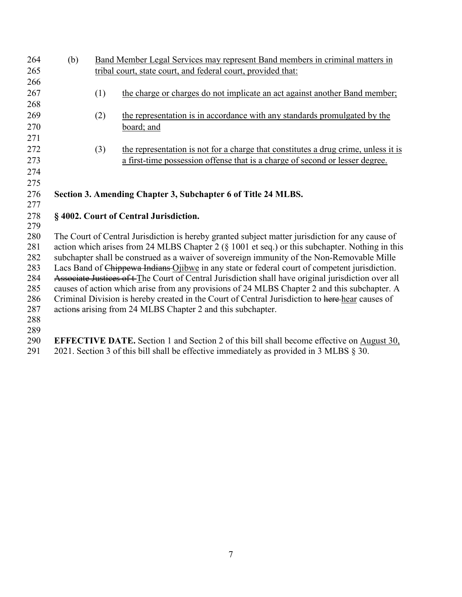| 264        | (b)                                                                                                                                                                                                  | Band Member Legal Services may represent Band members in criminal matters in                     |                                                                                                                                                                                                                                                                                                                              |  |
|------------|------------------------------------------------------------------------------------------------------------------------------------------------------------------------------------------------------|--------------------------------------------------------------------------------------------------|------------------------------------------------------------------------------------------------------------------------------------------------------------------------------------------------------------------------------------------------------------------------------------------------------------------------------|--|
| 265        |                                                                                                                                                                                                      |                                                                                                  | tribal court, state court, and federal court, provided that:                                                                                                                                                                                                                                                                 |  |
| 266        |                                                                                                                                                                                                      |                                                                                                  |                                                                                                                                                                                                                                                                                                                              |  |
| 267        |                                                                                                                                                                                                      | (1)                                                                                              | the charge or charges do not implicate an act against another Band member;                                                                                                                                                                                                                                                   |  |
| 268        |                                                                                                                                                                                                      |                                                                                                  |                                                                                                                                                                                                                                                                                                                              |  |
| 269        |                                                                                                                                                                                                      | (2)                                                                                              | the representation is in accordance with any standards promulgated by the                                                                                                                                                                                                                                                    |  |
| 270        |                                                                                                                                                                                                      |                                                                                                  | board; and                                                                                                                                                                                                                                                                                                                   |  |
| 271        |                                                                                                                                                                                                      |                                                                                                  |                                                                                                                                                                                                                                                                                                                              |  |
| 272        |                                                                                                                                                                                                      | (3)                                                                                              | the representation is not for a charge that constitutes a drug crime, unless it is                                                                                                                                                                                                                                           |  |
| 273        |                                                                                                                                                                                                      |                                                                                                  | a first-time possession offense that is a charge of second or lesser degree.                                                                                                                                                                                                                                                 |  |
| 274        |                                                                                                                                                                                                      |                                                                                                  |                                                                                                                                                                                                                                                                                                                              |  |
| 275        |                                                                                                                                                                                                      |                                                                                                  |                                                                                                                                                                                                                                                                                                                              |  |
| 276        |                                                                                                                                                                                                      |                                                                                                  | Section 3. Amending Chapter 3, Subchapter 6 of Title 24 MLBS.                                                                                                                                                                                                                                                                |  |
| 277        |                                                                                                                                                                                                      |                                                                                                  |                                                                                                                                                                                                                                                                                                                              |  |
| 278        |                                                                                                                                                                                                      |                                                                                                  | §4002. Court of Central Jurisdiction.                                                                                                                                                                                                                                                                                        |  |
| 279        |                                                                                                                                                                                                      |                                                                                                  |                                                                                                                                                                                                                                                                                                                              |  |
| 280        |                                                                                                                                                                                                      | The Court of Central Jurisdiction is hereby granted subject matter jurisdiction for any cause of |                                                                                                                                                                                                                                                                                                                              |  |
| 281        |                                                                                                                                                                                                      |                                                                                                  | action which arises from 24 MLBS Chapter 2 (§ 1001 et seq.) or this subchapter. Nothing in this                                                                                                                                                                                                                              |  |
| 282        | subchapter shall be construed as a waiver of sovereign immunity of the Non-Removable Mille                                                                                                           |                                                                                                  |                                                                                                                                                                                                                                                                                                                              |  |
| 283<br>284 | Lacs Band of Chippewa Indians Ojibwe in any state or federal court of competent jurisdiction.<br>Associate Justices of t The Court of Central Jurisdiction shall have original jurisdiction over all |                                                                                                  |                                                                                                                                                                                                                                                                                                                              |  |
| 285        |                                                                                                                                                                                                      |                                                                                                  | causes of action which arise from any provisions of 24 MLBS Chapter 2 and this subchapter. A                                                                                                                                                                                                                                 |  |
| 286        |                                                                                                                                                                                                      | Criminal Division is hereby created in the Court of Central Jurisdiction to here hear causes of  |                                                                                                                                                                                                                                                                                                                              |  |
| 287        |                                                                                                                                                                                                      |                                                                                                  | actions arising from 24 MLBS Chapter 2 and this subchapter.                                                                                                                                                                                                                                                                  |  |
| 288        |                                                                                                                                                                                                      |                                                                                                  |                                                                                                                                                                                                                                                                                                                              |  |
| 289        |                                                                                                                                                                                                      |                                                                                                  |                                                                                                                                                                                                                                                                                                                              |  |
| 290        |                                                                                                                                                                                                      |                                                                                                  | <b>EFFECTIVE DATE.</b> Section 1 and Section 2 of this bill shall become effective on August 30,                                                                                                                                                                                                                             |  |
|            |                                                                                                                                                                                                      |                                                                                                  | $\alpha$ and a set of $\alpha$ and $\alpha$ and $\alpha$ and $\alpha$ and $\alpha$ and $\alpha$ and $\alpha$ and $\alpha$ and $\alpha$ and $\alpha$ and $\alpha$ and $\alpha$ and $\alpha$ and $\alpha$ and $\alpha$ and $\alpha$ and $\alpha$ and $\alpha$ and $\alpha$ and $\alpha$ and $\alpha$ and $\alpha$ and $\alpha$ |  |

291 2021. Section 3 of this bill shall be effective immediately as provided in 3 MLBS  $\S$  30.